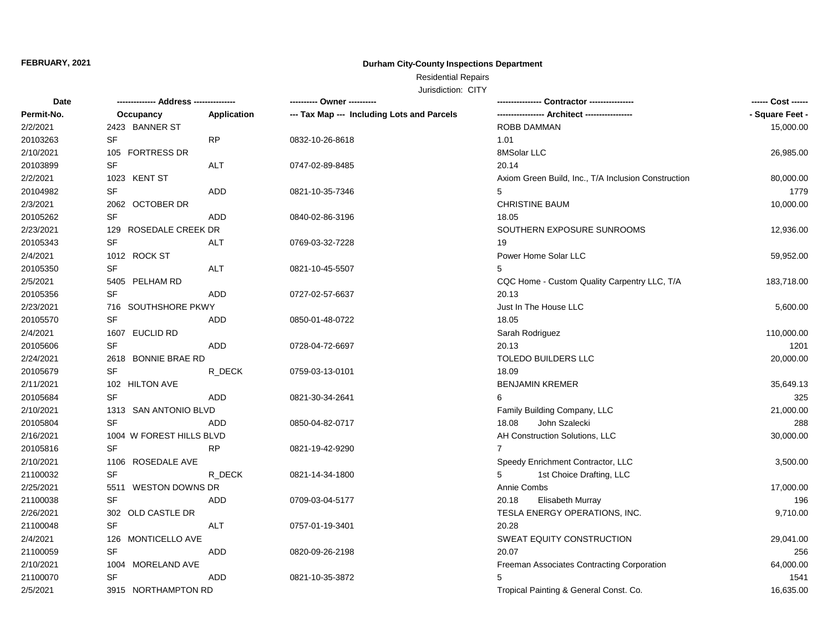## **Durham City-County Inspections Department**

# Residential Repairs

| Date       |                          |             | --------- Owner ---------                  |                                                     | ------ Cost ------ |
|------------|--------------------------|-------------|--------------------------------------------|-----------------------------------------------------|--------------------|
| Permit-No. | Occupancy                | Application | --- Tax Map --- Including Lots and Parcels | ----------------- Architect -----------------       | - Square Feet -    |
| 2/2/2021   | 2423 BANNER ST           |             |                                            | ROBB DAMMAN                                         | 15,000.00          |
| 20103263   | SF                       | <b>RP</b>   | 0832-10-26-8618                            | 1.01                                                |                    |
| 2/10/2021  | 105 FORTRESS DR          |             |                                            | 8MSolar LLC                                         | 26,985.00          |
| 20103899   | SF                       | <b>ALT</b>  | 0747-02-89-8485                            | 20.14                                               |                    |
| 2/2/2021   | 1023 KENT ST             |             |                                            | Axiom Green Build, Inc., T/A Inclusion Construction | 80,000.00          |
| 20104982   | <b>SF</b>                | <b>ADD</b>  | 0821-10-35-7346                            | 5                                                   | 1779               |
| 2/3/2021   | 2062 OCTOBER DR          |             |                                            | <b>CHRISTINE BAUM</b>                               | 10,000.00          |
| 20105262   | SF                       | ADD         | 0840-02-86-3196                            | 18.05                                               |                    |
| 2/23/2021  | 129 ROSEDALE CREEK DR    |             |                                            | SOUTHERN EXPOSURE SUNROOMS                          | 12,936.00          |
| 20105343   | <b>SF</b>                | ALT         | 0769-03-32-7228                            | 19                                                  |                    |
| 2/4/2021   | 1012 ROCK ST             |             |                                            | Power Home Solar LLC                                | 59,952.00          |
| 20105350   | <b>SF</b>                | ALT         | 0821-10-45-5507                            | 5                                                   |                    |
| 2/5/2021   | 5405 PELHAM RD           |             |                                            | CQC Home - Custom Quality Carpentry LLC, T/A        | 183,718.00         |
| 20105356   | <b>SF</b>                | <b>ADD</b>  | 0727-02-57-6637                            | 20.13                                               |                    |
| 2/23/2021  | 716 SOUTHSHORE PKWY      |             |                                            | Just In The House LLC                               | 5,600.00           |
| 20105570   | <b>SF</b>                | <b>ADD</b>  | 0850-01-48-0722                            | 18.05                                               |                    |
| 2/4/2021   | 1607 EUCLID RD           |             |                                            | Sarah Rodriguez                                     | 110,000.00         |
| 20105606   | <b>SF</b>                | <b>ADD</b>  | 0728-04-72-6697                            | 20.13                                               | 1201               |
| 2/24/2021  | 2618 BONNIE BRAE RD      |             |                                            | <b>TOLEDO BUILDERS LLC</b>                          | 20,000.00          |
| 20105679   | SF                       | R_DECK      | 0759-03-13-0101                            | 18.09                                               |                    |
| 2/11/2021  | 102 HILTON AVE           |             |                                            | <b>BENJAMIN KREMER</b>                              | 35,649.13          |
| 20105684   | SF                       | <b>ADD</b>  | 0821-30-34-2641                            | 6                                                   | 325                |
| 2/10/2021  | 1313 SAN ANTONIO BLVD    |             |                                            | Family Building Company, LLC                        | 21,000.00          |
| 20105804   | SF                       | ADD         | 0850-04-82-0717                            | John Szalecki<br>18.08                              | 288                |
| 2/16/2021  | 1004 W FOREST HILLS BLVD |             |                                            | AH Construction Solutions, LLC                      | 30,000.00          |
| 20105816   | <b>SF</b>                | <b>RP</b>   | 0821-19-42-9290                            | $\overline{7}$                                      |                    |
| 2/10/2021  | 1106 ROSEDALE AVE        |             |                                            | Speedy Enrichment Contractor, LLC                   | 3,500.00           |
| 21100032   | <b>SF</b>                | R DECK      | 0821-14-34-1800                            | 5<br>1st Choice Drafting, LLC                       |                    |
| 2/25/2021  | 5511 WESTON DOWNS DR     |             |                                            | Annie Combs                                         | 17,000.00          |
| 21100038   | <b>SF</b>                | <b>ADD</b>  | 0709-03-04-5177                            | 20.18<br>Elisabeth Murray                           | 196                |
| 2/26/2021  | 302 OLD CASTLE DR        |             |                                            | TESLA ENERGY OPERATIONS, INC.                       | 9,710.00           |
| 21100048   | SF                       | ALT         | 0757-01-19-3401                            | 20.28                                               |                    |
| 2/4/2021   | 126 MONTICELLO AVE       |             |                                            | SWEAT EQUITY CONSTRUCTION                           | 29,041.00          |
| 21100059   | SF                       | ADD         | 0820-09-26-2198                            | 20.07                                               | 256                |
| 2/10/2021  | 1004 MORELAND AVE        |             |                                            | Freeman Associates Contracting Corporation          | 64,000.00          |
| 21100070   | SF                       | ADD         | 0821-10-35-3872                            | 5                                                   | 1541               |
| 2/5/2021   | 3915 NORTHAMPTON RD      |             |                                            | Tropical Painting & General Const. Co.              | 16,635.00          |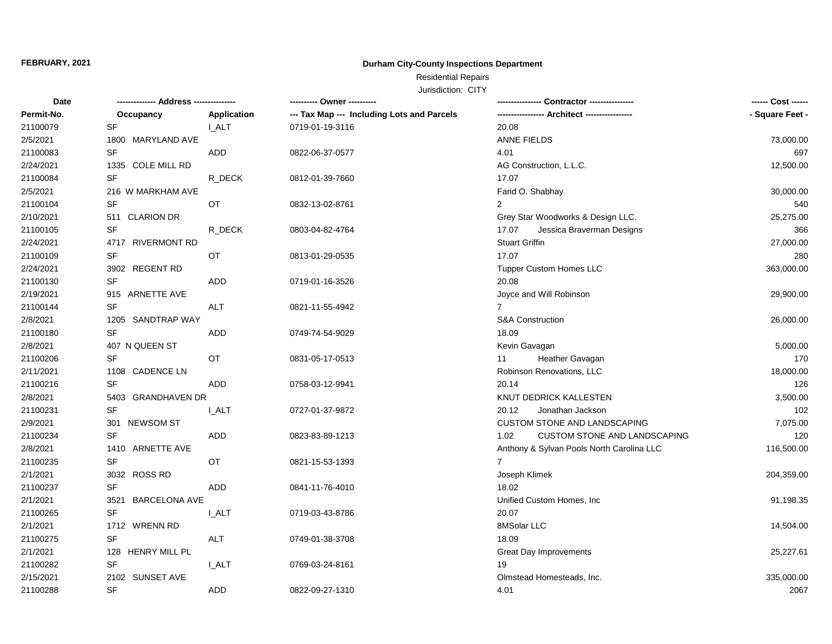## **Durham City-County Inspections Department**

Residential Repairs

| Date       |                              |              | ---------- Owner ----------                |                                             |                 |
|------------|------------------------------|--------------|--------------------------------------------|---------------------------------------------|-----------------|
| Permit-No. | Occupancy                    | Application  | --- Tax Map --- Including Lots and Parcels | ---------------- Architect ---------------- | - Square Feet - |
| 21100079   | <b>SF</b>                    | <b>LALT</b>  | 0719-01-19-3116                            | 20.08                                       |                 |
| 2/5/2021   | 1800 MARYLAND AVE            |              |                                            | <b>ANNE FIELDS</b>                          | 73,000.00       |
| 21100083   | SF                           | <b>ADD</b>   | 0822-06-37-0577                            | 4.01                                        | 697             |
| 2/24/2021  | 1335 COLE MILL RD            |              |                                            | AG Construction, L.L.C.                     | 12,500.00       |
| 21100084   | SF                           | R_DECK       | 0812-01-39-7660                            | 17.07                                       |                 |
| 2/5/2021   | 216 W MARKHAM AVE            |              |                                            | Farid O. Shabhay                            | 30,000.00       |
| 21100104   | SF                           | <b>OT</b>    | 0832-13-02-8761                            | 2                                           | 540             |
| 2/10/2021  | 511 CLARION DR               |              |                                            | Grey Star Woodworks & Design LLC.           | 25,275.00       |
| 21100105   | SF                           | R_DECK       | 0803-04-82-4764                            | 17.07<br>Jessica Braverman Designs          | 366             |
| 2/24/2021  | 4717 RIVERMONT RD            |              |                                            | <b>Stuart Griffin</b>                       | 27,000.00       |
| 21100109   | SF                           | OT           | 0813-01-29-0535                            | 17.07                                       | 280             |
| 2/24/2021  | 3902 REGENT RD               |              |                                            | <b>Tupper Custom Homes LLC</b>              | 363,000.00      |
| 21100130   | <b>SF</b>                    | <b>ADD</b>   | 0719-01-16-3526                            | 20.08                                       |                 |
| 2/19/2021  | 915 ARNETTE AVE              |              |                                            | Joyce and Will Robinson                     | 29,900.00       |
| 21100144   | <b>SF</b>                    | ALT          | 0821-11-55-4942                            | $\overline{7}$                              |                 |
| 2/8/2021   | 1205 SANDTRAP WAY            |              |                                            | <b>S&amp;A Construction</b>                 | 26,000.00       |
| 21100180   | SF                           | <b>ADD</b>   | 0749-74-54-9029                            | 18.09                                       |                 |
| 2/8/2021   | 407 N QUEEN ST               |              |                                            | Kevin Gavagan                               | 5,000.00        |
| 21100206   | <b>SF</b>                    | OT           | 0831-05-17-0513                            | Heather Gavagan<br>11                       | 170             |
| 2/11/2021  | 1108 CADENCE LN              |              |                                            | Robinson Renovations, LLC                   | 18,000.00       |
| 21100216   | SF                           | ADD          | 0758-03-12-9941                            | 20.14                                       | 126             |
| 2/8/2021   | 5403 GRANDHAVEN DR           |              |                                            | KNUT DEDRICK KALLESTEN                      | 3,500.00        |
| 21100231   | SF                           | <b>L_ALT</b> | 0727-01-37-9872                            | 20.12<br>Jonathan Jackson                   | 102             |
| 2/9/2021   | 301 NEWSOM ST                |              |                                            | CUSTOM STONE AND LANDSCAPING                | 7,075.00        |
| 21100234   | <b>SF</b>                    | <b>ADD</b>   | 0823-83-89-1213                            | 1.02<br><b>CUSTOM STONE AND LANDSCAPING</b> | 120             |
| 2/8/2021   | 1410 ARNETTE AVE             |              |                                            | Anthony & Sylvan Pools North Carolina LLC   | 116,500.00      |
| 21100235   | <b>SF</b>                    | OT           | 0821-15-53-1393                            | $\overline{7}$                              |                 |
| 2/1/2021   | 3032 ROSS RD                 |              |                                            | Joseph Klimek                               | 204,359.00      |
| 21100237   | SF                           | ADD          | 0841-11-76-4010                            | 18.02                                       |                 |
| 2/1/2021   | 3521<br><b>BARCELONA AVE</b> |              |                                            | Unified Custom Homes, Inc                   | 91,198.35       |
| 21100265   | SF                           | <b>I_ALT</b> | 0719-03-43-8786                            | 20.07                                       |                 |
| 2/1/2021   | 1712 WRENN RD                |              |                                            | 8MSolar LLC                                 | 14,504.00       |
| 21100275   | <b>SF</b>                    | ALT          | 0749-01-38-3708                            | 18.09                                       |                 |
| 2/1/2021   | 128 HENRY MILL PL            |              |                                            | Great Day Improvements                      | 25,227.61       |
| 21100282   | <b>SF</b>                    | I_ALT        | 0769-03-24-8161                            | 19                                          |                 |
| 2/15/2021  | 2102 SUNSET AVE              |              |                                            | Olmstead Homesteads, Inc.                   | 335,000.00      |
| 21100288   | <b>SF</b>                    | ADD          | 0822-09-27-1310                            | 4.01                                        | 2067            |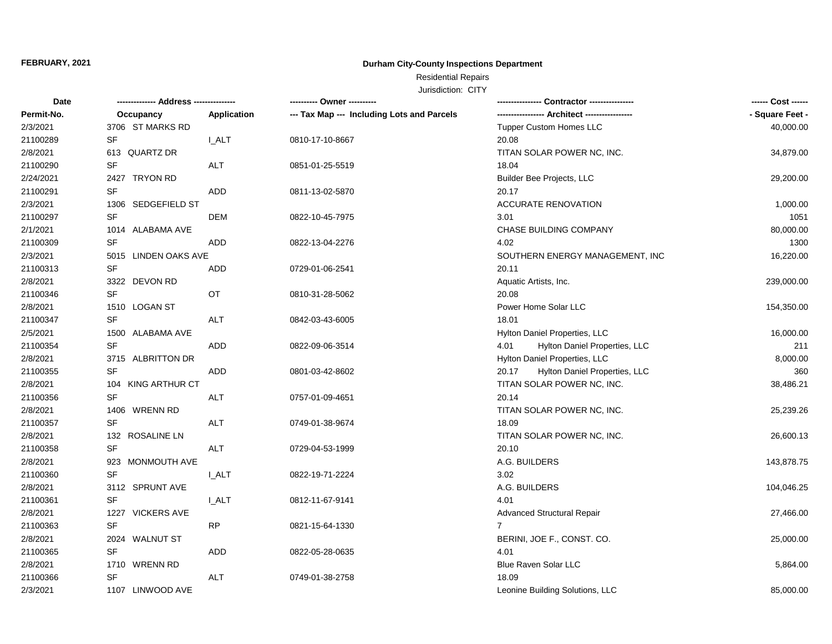## **Durham City-County Inspections Department**

# Residential Repairs

| Date       | -------------- Address --------------- |              | ---------- Owner ----------                |                                        | ------ Cost ------ |
|------------|----------------------------------------|--------------|--------------------------------------------|----------------------------------------|--------------------|
| Permit-No. | Occupancy                              | Application  | --- Tax Map --- Including Lots and Parcels |                                        | - Square Feet -    |
| 2/3/2021   | 3706 ST MARKS RD                       |              |                                            | <b>Tupper Custom Homes LLC</b>         | 40,000.00          |
| 21100289   | SF                                     | I ALT        | 0810-17-10-8667                            | 20.08                                  |                    |
| 2/8/2021   | 613 QUARTZ DR                          |              |                                            | TITAN SOLAR POWER NC, INC.             | 34,879.00          |
| 21100290   | SF                                     | <b>ALT</b>   | 0851-01-25-5519                            | 18.04                                  |                    |
| 2/24/2021  | 2427 TRYON RD                          |              |                                            | Builder Bee Projects, LLC              | 29,200.00          |
| 21100291   | <b>SF</b>                              | <b>ADD</b>   | 0811-13-02-5870                            | 20.17                                  |                    |
| 2/3/2021   | 1306 SEDGEFIELD ST                     |              |                                            | <b>ACCURATE RENOVATION</b>             | 1,000.00           |
| 21100297   | SF                                     | DEM          | 0822-10-45-7975                            | 3.01                                   | 1051               |
| 2/1/2021   | 1014 ALABAMA AVE                       |              |                                            | CHASE BUILDING COMPANY                 | 80,000.00          |
| 21100309   | <b>SF</b>                              | ADD          | 0822-13-04-2276                            | 4.02                                   | 1300               |
| 2/3/2021   | 5015 LINDEN OAKS AVE                   |              |                                            | SOUTHERN ENERGY MANAGEMENT, INC        | 16,220.00          |
| 21100313   | <b>SF</b>                              | ADD          | 0729-01-06-2541                            | 20.11                                  |                    |
| 2/8/2021   | 3322 DEVON RD                          |              |                                            | Aquatic Artists, Inc.                  | 239,000.00         |
| 21100346   | <b>SF</b>                              | OT           | 0810-31-28-5062                            | 20.08                                  |                    |
| 2/8/2021   | 1510 LOGAN ST                          |              |                                            | Power Home Solar LLC                   | 154,350.00         |
| 21100347   | <b>SF</b>                              | <b>ALT</b>   | 0842-03-43-6005                            | 18.01                                  |                    |
| 2/5/2021   | 1500 ALABAMA AVE                       |              |                                            | Hylton Daniel Properties, LLC          | 16,000.00          |
| 21100354   | <b>SF</b>                              | <b>ADD</b>   | 0822-09-06-3514                            | Hylton Daniel Properties, LLC<br>4.01  | 211                |
| 2/8/2021   | 3715 ALBRITTON DR                      |              |                                            | Hylton Daniel Properties, LLC          | 8,000.00           |
| 21100355   | <b>SF</b>                              | ADD          | 0801-03-42-8602                            | Hylton Daniel Properties, LLC<br>20.17 | 360                |
| 2/8/2021   | 104 KING ARTHUR CT                     |              |                                            | TITAN SOLAR POWER NC, INC.             | 38,486.21          |
| 21100356   | SF                                     | ALT          | 0757-01-09-4651                            | 20.14                                  |                    |
| 2/8/2021   | 1406 WRENN RD                          |              |                                            | TITAN SOLAR POWER NC, INC.             | 25,239.26          |
| 21100357   | SF                                     | ALT          | 0749-01-38-9674                            | 18.09                                  |                    |
| 2/8/2021   | 132 ROSALINE LN                        |              |                                            | TITAN SOLAR POWER NC, INC.             | 26,600.13          |
| 21100358   | <b>SF</b>                              | ALT          | 0729-04-53-1999                            | 20.10                                  |                    |
| 2/8/2021   | 923 MONMOUTH AVE                       |              |                                            | A.G. BUILDERS                          | 143,878.75         |
| 21100360   | <b>SF</b>                              | I ALT        | 0822-19-71-2224                            | 3.02                                   |                    |
| 2/8/2021   | 3112 SPRUNT AVE                        |              |                                            | A.G. BUILDERS                          | 104,046.25         |
| 21100361   | <b>SF</b>                              | <b>I_ALT</b> | 0812-11-67-9141                            | 4.01                                   |                    |
| 2/8/2021   | 1227 VICKERS AVE                       |              |                                            | <b>Advanced Structural Repair</b>      | 27,466.00          |
| 21100363   | SF                                     | <b>RP</b>    | 0821-15-64-1330                            | $\overline{7}$                         |                    |
| 2/8/2021   | 2024 WALNUT ST                         |              |                                            | BERINI, JOE F., CONST. CO.             | 25,000.00          |
| 21100365   | <b>SF</b>                              | ADD          | 0822-05-28-0635                            | 4.01                                   |                    |
| 2/8/2021   | 1710 WRENN RD                          |              |                                            | <b>Blue Raven Solar LLC</b>            | 5,864.00           |
| 21100366   | <b>SF</b>                              | <b>ALT</b>   | 0749-01-38-2758                            | 18.09                                  |                    |
| 2/3/2021   | 1107 LINWOOD AVE                       |              |                                            | Leonine Building Solutions, LLC        | 85,000.00          |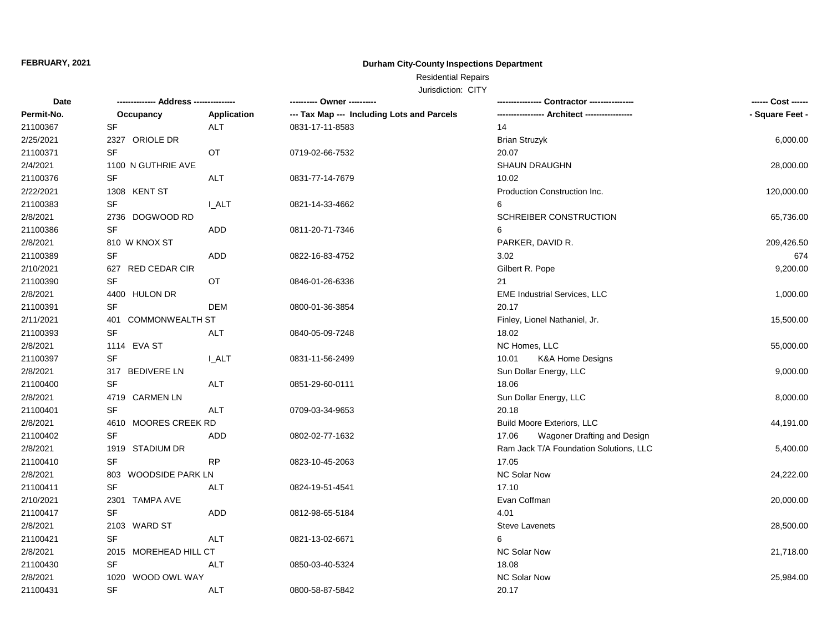## **Durham City-County Inspections Department**

# Residential Repairs

| Date       |                               |              | ---------- Owner ----------                | -- Contractor ----------------              | ------ Cost ------ |
|------------|-------------------------------|--------------|--------------------------------------------|---------------------------------------------|--------------------|
| Permit-No. | Occupancy                     | Application  | --- Tax Map --- Including Lots and Parcels | ---------------- Architect ---------------- | - Square Feet -    |
| 21100367   | <b>SF</b>                     | <b>ALT</b>   | 0831-17-11-8583                            | 14                                          |                    |
| 2/25/2021  | 2327 ORIOLE DR                |              |                                            | <b>Brian Struzyk</b>                        | 6,000.00           |
| 21100371   | <b>SF</b>                     | <b>OT</b>    | 0719-02-66-7532                            | 20.07                                       |                    |
| 2/4/2021   | 1100 N GUTHRIE AVE            |              |                                            | <b>SHAUN DRAUGHN</b>                        | 28,000.00          |
| 21100376   | SF                            | ALT          | 0831-77-14-7679                            | 10.02                                       |                    |
| 2/22/2021  | 1308 KENT ST                  |              |                                            | <b>Production Construction Inc.</b>         | 120,000.00         |
| 21100383   | <b>SF</b>                     | <b>I_ALT</b> | 0821-14-33-4662                            | 6                                           |                    |
| 2/8/2021   | 2736 DOGWOOD RD               |              |                                            | SCHREIBER CONSTRUCTION                      | 65,736.00          |
| 21100386   | SF                            | ADD          | 0811-20-71-7346                            | 6                                           |                    |
| 2/8/2021   | 810 W KNOX ST                 |              |                                            | PARKER, DAVID R.                            | 209,426.50         |
| 21100389   | <b>SF</b>                     | ADD          | 0822-16-83-4752                            | 3.02                                        | 674                |
| 2/10/2021  | 627 RED CEDAR CIR             |              |                                            | Gilbert R. Pope                             | 9,200.00           |
| 21100390   | <b>SF</b>                     | <b>OT</b>    | 0846-01-26-6336                            | 21                                          |                    |
| 2/8/2021   | 4400 HULON DR                 |              |                                            | <b>EME Industrial Services, LLC</b>         | 1,000.00           |
| 21100391   | SF                            | <b>DEM</b>   | 0800-01-36-3854                            | 20.17                                       |                    |
| 2/11/2021  | <b>COMMONWEALTH ST</b><br>401 |              |                                            | Finley, Lionel Nathaniel, Jr.               | 15,500.00          |
| 21100393   | <b>SF</b>                     | <b>ALT</b>   | 0840-05-09-7248                            | 18.02                                       |                    |
| 2/8/2021   | 1114 EVA ST                   |              |                                            | NC Homes, LLC                               | 55,000.00          |
| 21100397   | SF                            | <b>L_ALT</b> | 0831-11-56-2499                            | 10.01<br><b>K&amp;A Home Designs</b>        |                    |
| 2/8/2021   | 317 BEDIVERE LN               |              |                                            | Sun Dollar Energy, LLC                      | 9,000.00           |
| 21100400   | <b>SF</b>                     | ALT          | 0851-29-60-0111                            | 18.06                                       |                    |
| 2/8/2021   | 4719 CARMEN LN                |              |                                            | Sun Dollar Energy, LLC                      | 8,000.00           |
| 21100401   | <b>SF</b>                     | ALT          | 0709-03-34-9653                            | 20.18                                       |                    |
| 2/8/2021   | 4610 MOORES CREEK RD          |              |                                            | <b>Build Moore Exteriors, LLC</b>           | 44,191.00          |
| 21100402   | SF                            | <b>ADD</b>   | 0802-02-77-1632                            | Wagoner Drafting and Design<br>17.06        |                    |
| 2/8/2021   | 1919 STADIUM DR               |              |                                            | Ram Jack T/A Foundation Solutions, LLC      | 5,400.00           |
| 21100410   | <b>SF</b>                     | <b>RP</b>    | 0823-10-45-2063                            | 17.05                                       |                    |
| 2/8/2021   | 803 WOODSIDE PARK LN          |              |                                            | NC Solar Now                                | 24,222.00          |
| 21100411   | <b>SF</b>                     | <b>ALT</b>   | 0824-19-51-4541                            | 17.10                                       |                    |
| 2/10/2021  | 2301 TAMPA AVE                |              |                                            | Evan Coffman                                | 20,000.00          |
| 21100417   | <b>SF</b>                     | ADD          | 0812-98-65-5184                            | 4.01                                        |                    |
| 2/8/2021   | 2103 WARD ST                  |              |                                            | <b>Steve Lavenets</b>                       | 28,500.00          |
| 21100421   | SF                            | ALT          | 0821-13-02-6671                            | 6                                           |                    |
| 2/8/2021   | 2015 MOREHEAD HILL CT         |              |                                            | <b>NC Solar Now</b>                         | 21,718.00          |
| 21100430   | SF                            | <b>ALT</b>   | 0850-03-40-5324                            | 18.08                                       |                    |
| 2/8/2021   | WOOD OWL WAY<br>1020          |              |                                            | <b>NC Solar Now</b>                         | 25,984.00          |
| 21100431   | <b>SF</b>                     | <b>ALT</b>   | 0800-58-87-5842                            | 20.17                                       |                    |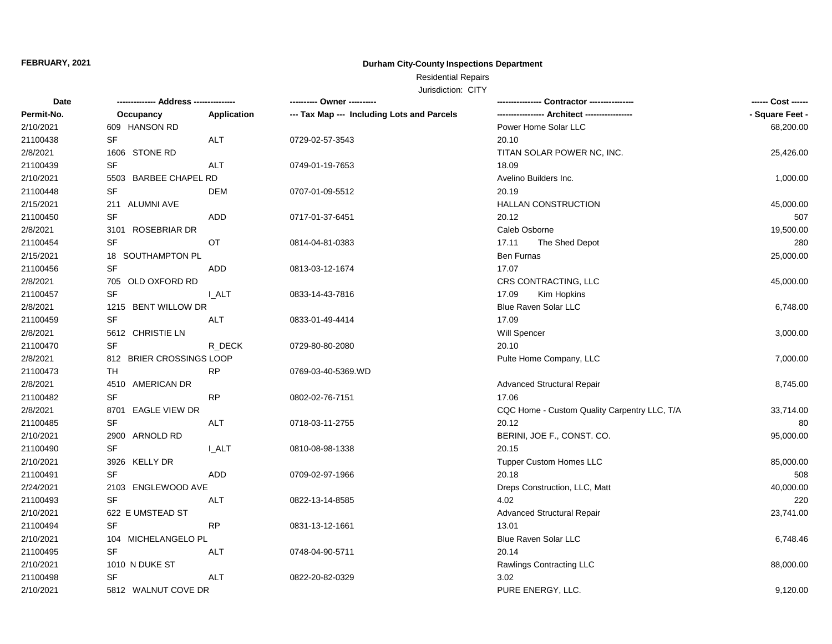## **Durham City-County Inspections Department**

# Residential Repairs

| Date       |                          | ------------ | ---------- Owner ----------                |                                              | ------ Cost ------ |
|------------|--------------------------|--------------|--------------------------------------------|----------------------------------------------|--------------------|
| Permit-No. | Occupancy                | Application  | --- Tax Map --- Including Lots and Parcels |                                              | - Square Feet -    |
| 2/10/2021  | 609 HANSON RD            |              |                                            | Power Home Solar LLC                         | 68,200.00          |
| 21100438   | <b>SF</b>                | <b>ALT</b>   | 0729-02-57-3543                            | 20.10                                        |                    |
| 2/8/2021   | 1606 STONE RD            |              |                                            | TITAN SOLAR POWER NC, INC.                   | 25,426.00          |
| 21100439   | <b>SF</b>                | <b>ALT</b>   | 0749-01-19-7653                            | 18.09                                        |                    |
| 2/10/2021  | 5503 BARBEE CHAPEL RD    |              |                                            | Avelino Builders Inc.                        | 1,000.00           |
| 21100448   | SF                       | DEM          | 0707-01-09-5512                            | 20.19                                        |                    |
| 2/15/2021  | 211 ALUMNI AVE           |              |                                            | <b>HALLAN CONSTRUCTION</b>                   | 45,000.00          |
| 21100450   | SF                       | <b>ADD</b>   | 0717-01-37-6451                            | 20.12                                        | 507                |
| 2/8/2021   | 3101 ROSEBRIAR DR        |              |                                            | Caleb Osborne                                | 19,500.00          |
| 21100454   | <b>SF</b>                | OT           | 0814-04-81-0383                            | 17.11<br>The Shed Depot                      | 280                |
| 2/15/2021  | 18 SOUTHAMPTON PL        |              |                                            | Ben Furnas                                   | 25,000.00          |
| 21100456   | <b>SF</b>                | <b>ADD</b>   | 0813-03-12-1674                            | 17.07                                        |                    |
| 2/8/2021   | 705 OLD OXFORD RD        |              |                                            | CRS CONTRACTING, LLC                         | 45,000.00          |
| 21100457   | <b>SF</b>                | <b>LALT</b>  | 0833-14-43-7816                            | 17.09<br>Kim Hopkins                         |                    |
| 2/8/2021   | 1215 BENT WILLOW DR      |              |                                            | <b>Blue Raven Solar LLC</b>                  | 6,748.00           |
| 21100459   | SF                       | ALT          | 0833-01-49-4414                            | 17.09                                        |                    |
| 2/8/2021   | 5612 CHRISTIE LN         |              |                                            | Will Spencer                                 | 3,000.00           |
| 21100470   | <b>SF</b>                | R DECK       | 0729-80-80-2080                            | 20.10                                        |                    |
| 2/8/2021   | 812 BRIER CROSSINGS LOOP |              |                                            | Pulte Home Company, LLC                      | 7,000.00           |
| 21100473   | TH                       | <b>RP</b>    | 0769-03-40-5369.WD                         |                                              |                    |
| 2/8/2021   | 4510 AMERICAN DR         |              |                                            | <b>Advanced Structural Repair</b>            | 8,745.00           |
| 21100482   | <b>SF</b>                | <b>RP</b>    | 0802-02-76-7151                            | 17.06                                        |                    |
| 2/8/2021   | 8701 EAGLE VIEW DR       |              |                                            | CQC Home - Custom Quality Carpentry LLC, T/A | 33,714.00          |
| 21100485   | SF                       | <b>ALT</b>   | 0718-03-11-2755                            | 20.12                                        | 80                 |
| 2/10/2021  | 2900 ARNOLD RD           |              |                                            | BERINI, JOE F., CONST. CO.                   | 95,000.00          |
| 21100490   | <b>SF</b>                | I ALT        | 0810-08-98-1338                            | 20.15                                        |                    |
| 2/10/2021  | 3926 KELLY DR            |              |                                            | <b>Tupper Custom Homes LLC</b>               | 85,000.00          |
| 21100491   | SF                       | <b>ADD</b>   | 0709-02-97-1966                            | 20.18                                        | 508                |
| 2/24/2021  | 2103 ENGLEWOOD AVE       |              |                                            | Dreps Construction, LLC, Matt                | 40,000.00          |
| 21100493   | <b>SF</b>                | <b>ALT</b>   | 0822-13-14-8585                            | 4.02                                         | 220                |
| 2/10/2021  | 622 E UMSTEAD ST         |              |                                            | <b>Advanced Structural Repair</b>            | 23,741.00          |
| 21100494   | SF                       | <b>RP</b>    | 0831-13-12-1661                            | 13.01                                        |                    |
| 2/10/2021  | 104 MICHELANGELO PL      |              |                                            | Blue Raven Solar LLC                         | 6,748.46           |
| 21100495   | SF                       | <b>ALT</b>   | 0748-04-90-5711                            | 20.14                                        |                    |
| 2/10/2021  | 1010 N DUKE ST           |              |                                            | Rawlings Contracting LLC                     | 88,000.00          |
| 21100498   | SF                       | <b>ALT</b>   | 0822-20-82-0329                            | 3.02                                         |                    |
| 2/10/2021  | 5812 WALNUT COVE DR      |              |                                            | PURE ENERGY, LLC.                            | 9,120.00           |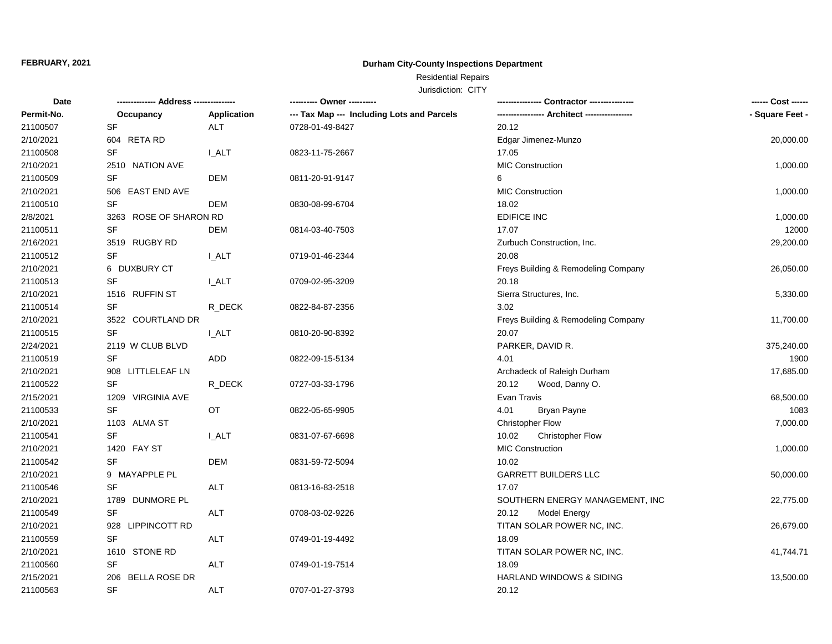## **Durham City-County Inspections Department**

Residential Repairs

| Date       |                        |             |                                            |                                        | ------ Cost ------ |
|------------|------------------------|-------------|--------------------------------------------|----------------------------------------|--------------------|
| Permit-No. | Occupancy              | Application | --- Tax Map --- Including Lots and Parcels | ---------------- Architect ----------- | - Square Feet -    |
| 21100507   | <b>SF</b>              | <b>ALT</b>  | 0728-01-49-8427                            | 20.12                                  |                    |
| 2/10/2021  | 604 RETA RD            |             |                                            | Edgar Jimenez-Munzo                    | 20,000.00          |
| 21100508   | <b>SF</b>              | <b>LALT</b> | 0823-11-75-2667                            | 17.05                                  |                    |
| 2/10/2021  | 2510 NATION AVE        |             |                                            | MIC Construction                       | 1,000.00           |
| 21100509   | <b>SF</b>              | <b>DEM</b>  | 0811-20-91-9147                            | 6                                      |                    |
| 2/10/2021  | 506 EAST END AVE       |             |                                            | <b>MIC Construction</b>                | 1,000.00           |
| 21100510   | SF                     | <b>DEM</b>  | 0830-08-99-6704                            | 18.02                                  |                    |
| 2/8/2021   | 3263 ROSE OF SHARON RD |             |                                            | <b>EDIFICE INC</b>                     | 1,000.00           |
| 21100511   | <b>SF</b>              | <b>DEM</b>  | 0814-03-40-7503                            | 17.07                                  | 12000              |
| 2/16/2021  | 3519 RUGBY RD          |             |                                            | Zurbuch Construction, Inc.             | 29,200.00          |
| 21100512   | <b>SF</b>              | I ALT       | 0719-01-46-2344                            | 20.08                                  |                    |
| 2/10/2021  | 6 DUXBURY CT           |             |                                            | Freys Building & Remodeling Company    | 26,050.00          |
| 21100513   | <b>SF</b>              | <b>LALT</b> | 0709-02-95-3209                            | 20.18                                  |                    |
| 2/10/2021  | 1516 RUFFIN ST         |             |                                            | Sierra Structures, Inc.                | 5,330.00           |
| 21100514   | <b>SF</b>              | R DECK      | 0822-84-87-2356                            | 3.02                                   |                    |
| 2/10/2021  | 3522 COURTLAND DR      |             |                                            | Freys Building & Remodeling Company    | 11,700.00          |
| 21100515   | <b>SF</b>              | <b>LALT</b> | 0810-20-90-8392                            | 20.07                                  |                    |
| 2/24/2021  | 2119 W CLUB BLVD       |             |                                            | PARKER, DAVID R.                       | 375,240.00         |
| 21100519   | <b>SF</b>              | ADD         | 0822-09-15-5134                            | 4.01                                   | 1900               |
| 2/10/2021  | 908 LITTLELEAF LN      |             |                                            | Archadeck of Raleigh Durham            | 17,685.00          |
| 21100522   | <b>SF</b>              | R_DECK      | 0727-03-33-1796                            | 20.12<br>Wood, Danny O.                |                    |
| 2/15/2021  | 1209 VIRGINIA AVE      |             |                                            | Evan Travis                            | 68,500.00          |
| 21100533   | <b>SF</b>              | OT          | 0822-05-65-9905                            | 4.01<br>Bryan Payne                    | 1083               |
| 2/10/2021  | 1103 ALMA ST           |             |                                            | <b>Christopher Flow</b>                | 7,000.00           |
| 21100541   | <b>SF</b>              | I ALT       | 0831-07-67-6698                            | 10.02<br><b>Christopher Flow</b>       |                    |
| 2/10/2021  | 1420 FAY ST            |             |                                            | MIC Construction                       | 1,000.00           |
| 21100542   | <b>SF</b>              | <b>DEM</b>  | 0831-59-72-5094                            | 10.02                                  |                    |
| 2/10/2021  | 9 MAYAPPLE PL          |             |                                            | <b>GARRETT BUILDERS LLC</b>            | 50,000.00          |
| 21100546   | <b>SF</b>              | <b>ALT</b>  | 0813-16-83-2518                            | 17.07                                  |                    |
| 2/10/2021  | 1789 DUNMORE PL        |             |                                            | SOUTHERN ENERGY MANAGEMENT, INC        | 22,775.00          |
| 21100549   | <b>SF</b>              | <b>ALT</b>  | 0708-03-02-9226                            | 20.12<br><b>Model Energy</b>           |                    |
| 2/10/2021  | 928 LIPPINCOTT RD      |             |                                            | TITAN SOLAR POWER NC, INC.             | 26,679.00          |
| 21100559   | <b>SF</b>              | <b>ALT</b>  | 0749-01-19-4492                            | 18.09                                  |                    |
| 2/10/2021  | 1610 STONE RD          |             |                                            | TITAN SOLAR POWER NC, INC.             | 41,744.71          |
| 21100560   | <b>SF</b>              | <b>ALT</b>  | 0749-01-19-7514                            | 18.09                                  |                    |
| 2/15/2021  | 206 BELLA ROSE DR      |             |                                            | <b>HARLAND WINDOWS &amp; SIDING</b>    | 13,500.00          |
| 21100563   | <b>SF</b>              | <b>ALT</b>  | 0707-01-27-3793                            | 20.12                                  |                    |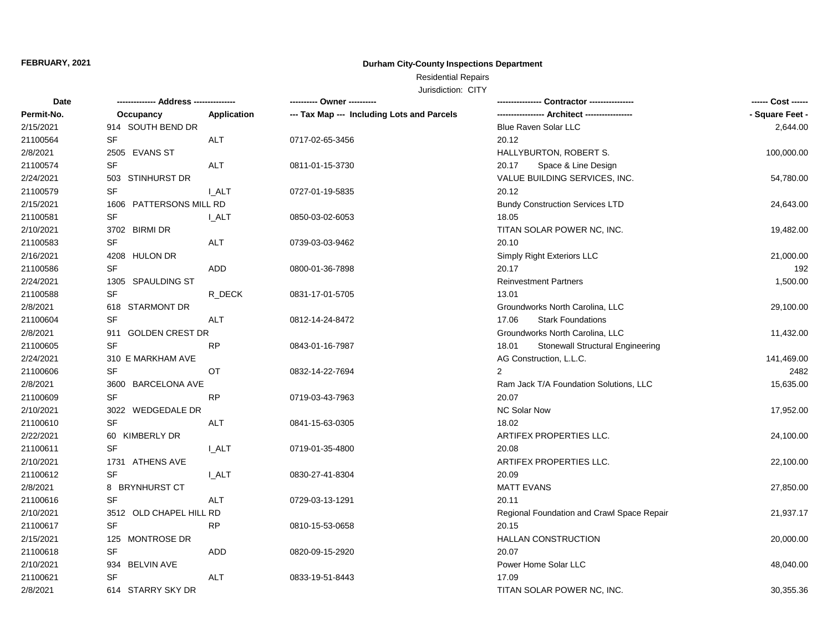## **Durham City-County Inspections Department**

# Residential Repairs

| <b>Date</b> |                         |              | ---------- Owner ----------                |                                                  | ------ Cost ------ |
|-------------|-------------------------|--------------|--------------------------------------------|--------------------------------------------------|--------------------|
| Permit-No.  | Occupancy               | Application  | --- Tax Map --- Including Lots and Parcels |                                                  | - Square Feet -    |
| 2/15/2021   | 914 SOUTH BEND DR       |              |                                            | <b>Blue Raven Solar LLC</b>                      | 2,644.00           |
| 21100564    | SF                      | <b>ALT</b>   | 0717-02-65-3456                            | 20.12                                            |                    |
| 2/8/2021    | 2505 EVANS ST           |              |                                            | HALLYBURTON, ROBERT S.                           | 100,000.00         |
| 21100574    | <b>SF</b>               | ALT          | 0811-01-15-3730                            | 20.17<br>Space & Line Design                     |                    |
| 2/24/2021   | 503 STINHURST DR        |              |                                            | VALUE BUILDING SERVICES, INC.                    | 54,780.00          |
| 21100579    | SF                      | <b>I_ALT</b> | 0727-01-19-5835                            | 20.12                                            |                    |
| 2/15/2021   | 1606 PATTERSONS MILL RD |              |                                            | <b>Bundy Construction Services LTD</b>           | 24,643.00          |
| 21100581    | SF                      | <b>I_ALT</b> | 0850-03-02-6053                            | 18.05                                            |                    |
| 2/10/2021   | 3702 BIRMI DR           |              |                                            | TITAN SOLAR POWER NC, INC.                       | 19,482.00          |
| 21100583    | <b>SF</b>               | <b>ALT</b>   | 0739-03-03-9462                            | 20.10                                            |                    |
| 2/16/2021   | 4208 HULON DR           |              |                                            | Simply Right Exteriors LLC                       | 21,000.00          |
| 21100586    | <b>SF</b>               | <b>ADD</b>   | 0800-01-36-7898                            | 20.17                                            | 192                |
| 2/24/2021   | 1305 SPAULDING ST       |              |                                            | <b>Reinvestment Partners</b>                     | 1,500.00           |
| 21100588    | <b>SF</b>               | R_DECK       | 0831-17-01-5705                            | 13.01                                            |                    |
| 2/8/2021    | 618 STARMONT DR         |              |                                            | Groundworks North Carolina, LLC                  | 29,100.00          |
| 21100604    | SF                      | ALT          | 0812-14-24-8472                            | <b>Stark Foundations</b><br>17.06                |                    |
| 2/8/2021    | 911 GOLDEN CREST DR     |              |                                            | Groundworks North Carolina, LLC                  | 11,432.00          |
| 21100605    | <b>SF</b>               | <b>RP</b>    | 0843-01-16-7987                            | <b>Stonewall Structural Engineering</b><br>18.01 |                    |
| 2/24/2021   | 310 E MARKHAM AVE       |              |                                            | AG Construction, L.L.C.                          | 141,469.00         |
| 21100606    | <b>SF</b>               | <b>OT</b>    | 0832-14-22-7694                            | 2                                                | 2482               |
| 2/8/2021    | 3600 BARCELONA AVE      |              |                                            | Ram Jack T/A Foundation Solutions, LLC           | 15,635.00          |
| 21100609    | <b>SF</b>               | <b>RP</b>    | 0719-03-43-7963                            | 20.07                                            |                    |
| 2/10/2021   | 3022 WEDGEDALE DR       |              |                                            | NC Solar Now                                     | 17,952.00          |
| 21100610    | SF                      | <b>ALT</b>   | 0841-15-63-0305                            | 18.02                                            |                    |
| 2/22/2021   | 60 KIMBERLY DR          |              |                                            | ARTIFEX PROPERTIES LLC.                          | 24,100.00          |
| 21100611    | <b>SF</b>               | <b>LALT</b>  | 0719-01-35-4800                            | 20.08                                            |                    |
| 2/10/2021   | 1731 ATHENS AVE         |              |                                            | ARTIFEX PROPERTIES LLC.                          | 22,100.00          |
| 21100612    | <b>SF</b>               | I ALT        | 0830-27-41-8304                            | 20.09                                            |                    |
| 2/8/2021    | 8 BRYNHURST CT          |              |                                            | <b>MATT EVANS</b>                                | 27,850.00          |
| 21100616    | <b>SF</b>               | <b>ALT</b>   | 0729-03-13-1291                            | 20.11                                            |                    |
| 2/10/2021   | 3512 OLD CHAPEL HILL RD |              |                                            | Regional Foundation and Crawl Space Repair       | 21,937.17          |
| 21100617    | SF                      | <b>RP</b>    | 0810-15-53-0658                            | 20.15                                            |                    |
| 2/15/2021   | 125 MONTROSE DR         |              |                                            | HALLAN CONSTRUCTION                              | 20,000.00          |
| 21100618    | SF                      | ADD          | 0820-09-15-2920                            | 20.07                                            |                    |
| 2/10/2021   | 934 BELVIN AVE          |              |                                            | Power Home Solar LLC                             | 48,040.00          |
| 21100621    | <b>SF</b>               | <b>ALT</b>   | 0833-19-51-8443                            | 17.09                                            |                    |
| 2/8/2021    | 614 STARRY SKY DR       |              |                                            | TITAN SOLAR POWER NC, INC.                       | 30,355.36          |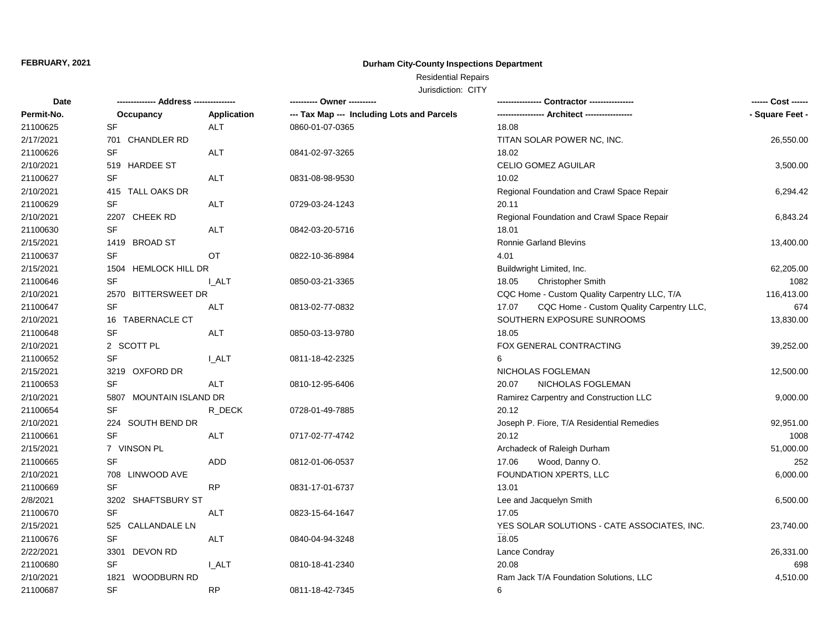## **Durham City-County Inspections Department**

Residential Repairs

| Date       | ------------- Address -------------- |              | ---------- Owner ----------                |                                                   |                 |
|------------|--------------------------------------|--------------|--------------------------------------------|---------------------------------------------------|-----------------|
| Permit-No. | Occupancy                            | Application  | --- Tax Map --- Including Lots and Parcels |                                                   | - Square Feet - |
| 21100625   | <b>SF</b>                            | <b>ALT</b>   | 0860-01-07-0365                            | 18.08                                             |                 |
| 2/17/2021  | 701 CHANDLER RD                      |              |                                            | TITAN SOLAR POWER NC, INC.                        | 26,550.00       |
| 21100626   | <b>SF</b>                            | <b>ALT</b>   | 0841-02-97-3265                            | 18.02                                             |                 |
| 2/10/2021  | 519 HARDEE ST                        |              |                                            | CELIO GOMEZ AGUILAR                               | 3,500.00        |
| 21100627   | SF                                   | <b>ALT</b>   | 0831-08-98-9530                            | 10.02                                             |                 |
| 2/10/2021  | 415 TALL OAKS DR                     |              |                                            | Regional Foundation and Crawl Space Repair        | 6,294.42        |
| 21100629   | <b>SF</b>                            | <b>ALT</b>   | 0729-03-24-1243                            | 20.11                                             |                 |
| 2/10/2021  | 2207 CHEEK RD                        |              |                                            | Regional Foundation and Crawl Space Repair        | 6,843.24        |
| 21100630   | SF                                   | <b>ALT</b>   | 0842-03-20-5716                            | 18.01                                             |                 |
| 2/15/2021  | 1419 BROAD ST                        |              |                                            | Ronnie Garland Blevins                            | 13,400.00       |
| 21100637   | <b>SF</b>                            | <b>OT</b>    | 0822-10-36-8984                            | 4.01                                              |                 |
| 2/15/2021  | 1504 HEMLOCK HILL DR                 |              |                                            | Buildwright Limited, Inc.                         | 62,205.00       |
| 21100646   | <b>SF</b>                            | <b>L_ALT</b> | 0850-03-21-3365                            | 18.05<br><b>Christopher Smith</b>                 | 1082            |
| 2/10/2021  | 2570 BITTERSWEET DR                  |              |                                            | CQC Home - Custom Quality Carpentry LLC, T/A      | 116,413.00      |
| 21100647   | SF                                   | ALT          | 0813-02-77-0832                            | CQC Home - Custom Quality Carpentry LLC,<br>17.07 | 674             |
| 2/10/2021  | 16 TABERNACLE CT                     |              |                                            | SOUTHERN EXPOSURE SUNROOMS                        | 13,830.00       |
| 21100648   | <b>SF</b>                            | <b>ALT</b>   | 0850-03-13-9780                            | 18.05                                             |                 |
| 2/10/2021  | 2 SCOTT PL                           |              |                                            | FOX GENERAL CONTRACTING                           | 39,252.00       |
| 21100652   | SF                                   | <b>L_ALT</b> | 0811-18-42-2325                            | 6                                                 |                 |
| 2/15/2021  | 3219 OXFORD DR                       |              |                                            | NICHOLAS FOGLEMAN                                 | 12,500.00       |
| 21100653   | <b>SF</b>                            | <b>ALT</b>   | 0810-12-95-6406                            | NICHOLAS FOGLEMAN<br>20.07                        |                 |
| 2/10/2021  | 5807 MOUNTAIN ISLAND DR              |              |                                            | Ramirez Carpentry and Construction LLC            | 9,000.00        |
| 21100654   | <b>SF</b>                            | R_DECK       | 0728-01-49-7885                            | 20.12                                             |                 |
| 2/10/2021  | 224 SOUTH BEND DR                    |              |                                            | Joseph P. Fiore, T/A Residential Remedies         | 92,951.00       |
| 21100661   | <b>SF</b>                            | <b>ALT</b>   | 0717-02-77-4742                            | 20.12                                             | 1008            |
| 2/15/2021  | 7 VINSON PL                          |              |                                            | Archadeck of Raleigh Durham                       | 51,000.00       |
| 21100665   | <b>SF</b>                            | <b>ADD</b>   | 0812-01-06-0537                            | 17.06<br>Wood, Danny O.                           | 252             |
| 2/10/2021  | 708 LINWOOD AVE                      |              |                                            | FOUNDATION XPERTS, LLC                            | 6,000.00        |
| 21100669   | SF                                   | <b>RP</b>    | 0831-17-01-6737                            | 13.01                                             |                 |
| 2/8/2021   | 3202 SHAFTSBURY ST                   |              |                                            | Lee and Jacquelyn Smith                           | 6,500.00        |
| 21100670   | <b>SF</b>                            | <b>ALT</b>   | 0823-15-64-1647                            | 17.05                                             |                 |
| 2/15/2021  | 525 CALLANDALE LN                    |              |                                            | YES SOLAR SOLUTIONS - CATE ASSOCIATES, INC.       | 23,740.00       |
| 21100676   | SF                                   | <b>ALT</b>   | 0840-04-94-3248                            | 18.05                                             |                 |
| 2/22/2021  | 3301 DEVON RD                        |              |                                            | Lance Condray                                     | 26,331.00       |
| 21100680   | SF                                   | I_ALT        | 0810-18-41-2340                            | 20.08                                             | 698             |
| 2/10/2021  | <b>WOODBURN RD</b><br>1821           |              |                                            | Ram Jack T/A Foundation Solutions, LLC            | 4,510.00        |
| 21100687   | <b>SF</b>                            | <b>RP</b>    | 0811-18-42-7345                            | 6                                                 |                 |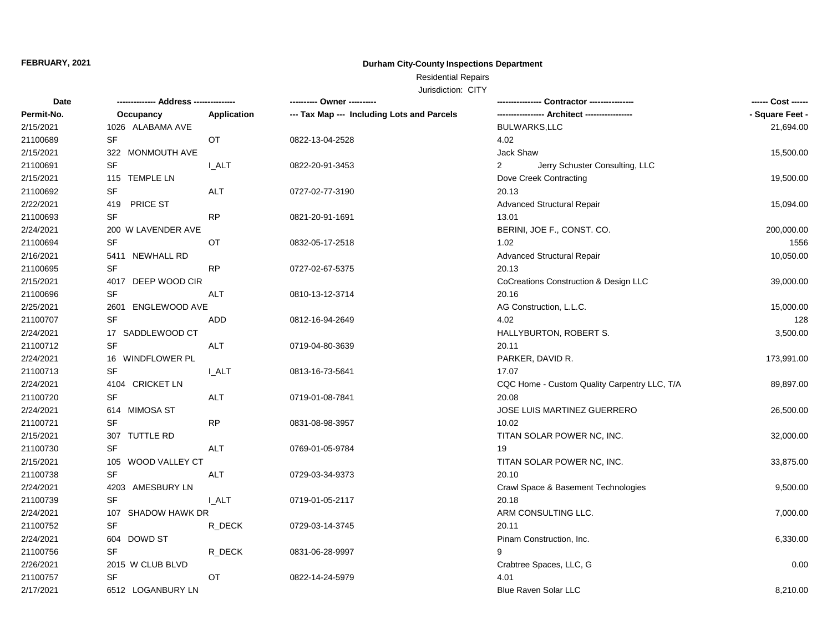## **Durham City-County Inspections Department**

# Residential Repairs

| Date       |                       |              |                                            |                                                  | ------ Cost ------ |
|------------|-----------------------|--------------|--------------------------------------------|--------------------------------------------------|--------------------|
| Permit-No. | Occupancy             | Application  | --- Tax Map --- Including Lots and Parcels |                                                  | - Square Feet -    |
| 2/15/2021  | 1026 ALABAMA AVE      |              |                                            | <b>BULWARKS,LLC</b>                              | 21,694.00          |
| 21100689   | SF                    | OT           | 0822-13-04-2528                            | 4.02                                             |                    |
| 2/15/2021  | 322 MONMOUTH AVE      |              |                                            | Jack Shaw                                        | 15,500.00          |
| 21100691   | SF                    | <b>I_ALT</b> | 0822-20-91-3453                            | $\overline{2}$<br>Jerry Schuster Consulting, LLC |                    |
| 2/15/2021  | 115 TEMPLE LN         |              |                                            | Dove Creek Contracting                           | 19,500.00          |
| 21100692   | <b>SF</b>             | <b>ALT</b>   | 0727-02-77-3190                            | 20.13                                            |                    |
| 2/22/2021  | 419 PRICE ST          |              |                                            | <b>Advanced Structural Repair</b>                | 15,094.00          |
| 21100693   | SF                    | <b>RP</b>    | 0821-20-91-1691                            | 13.01                                            |                    |
| 2/24/2021  | 200 W LAVENDER AVE    |              |                                            | BERINI, JOE F., CONST. CO.                       | 200,000.00         |
| 21100694   | <b>SF</b>             | OT           | 0832-05-17-2518                            | 1.02                                             | 1556               |
| 2/16/2021  | 5411 NEWHALL RD       |              |                                            | <b>Advanced Structural Repair</b>                | 10,050.00          |
| 21100695   | <b>SF</b>             | <b>RP</b>    | 0727-02-67-5375                            | 20.13                                            |                    |
| 2/15/2021  | 4017 DEEP WOOD CIR    |              |                                            | CoCreations Construction & Design LLC            | 39,000.00          |
| 21100696   | <b>SF</b>             | <b>ALT</b>   | 0810-13-12-3714                            | 20.16                                            |                    |
| 2/25/2021  | 2601<br>ENGLEWOOD AVE |              |                                            | AG Construction, L.L.C.                          | 15,000.00          |
| 21100707   | <b>SF</b>             | ADD          | 0812-16-94-2649                            | 4.02                                             | 128                |
| 2/24/2021  | 17 SADDLEWOOD CT      |              |                                            | HALLYBURTON, ROBERT S.                           | 3,500.00           |
| 21100712   | <b>SF</b>             | ALT          | 0719-04-80-3639                            | 20.11                                            |                    |
| 2/24/2021  | 16 WINDFLOWER PL      |              |                                            | PARKER, DAVID R.                                 | 173,991.00         |
| 21100713   | <b>SF</b>             | <b>LALT</b>  | 0813-16-73-5641                            | 17.07                                            |                    |
| 2/24/2021  | 4104 CRICKET LN       |              |                                            | CQC Home - Custom Quality Carpentry LLC, T/A     | 89,897.00          |
| 21100720   | <b>SF</b>             | ALT          | 0719-01-08-7841                            | 20.08                                            |                    |
| 2/24/2021  | 614 MIMOSA ST         |              |                                            | <b>JOSE LUIS MARTINEZ GUERRERO</b>               | 26,500.00          |
| 21100721   | <b>SF</b>             | <b>RP</b>    | 0831-08-98-3957                            | 10.02                                            |                    |
| 2/15/2021  | 307 TUTTLE RD         |              |                                            | TITAN SOLAR POWER NC, INC.                       | 32,000.00          |
| 21100730   | <b>SF</b>             | ALT          | 0769-01-05-9784                            | 19                                               |                    |
| 2/15/2021  | 105 WOOD VALLEY CT    |              |                                            | TITAN SOLAR POWER NC, INC.                       | 33,875.00          |
| 21100738   | <b>SF</b>             | ALT          | 0729-03-34-9373                            | 20.10                                            |                    |
| 2/24/2021  | 4203 AMESBURY LN      |              |                                            | Crawl Space & Basement Technologies              | 9,500.00           |
| 21100739   | <b>SF</b>             | I ALT        | 0719-01-05-2117                            | 20.18                                            |                    |
| 2/24/2021  | 107 SHADOW HAWK DR    |              |                                            | ARM CONSULTING LLC.                              | 7,000.00           |
| 21100752   | SF                    | R_DECK       | 0729-03-14-3745                            | 20.11                                            |                    |
| 2/24/2021  | 604 DOWD ST           |              |                                            | Pinam Construction, Inc.                         | 6,330.00           |
| 21100756   | <b>SF</b>             | R_DECK       | 0831-06-28-9997                            | 9                                                |                    |
| 2/26/2021  | 2015 W CLUB BLVD      |              |                                            | Crabtree Spaces, LLC, G                          | 0.00               |
| 21100757   | SF                    | OT           | 0822-14-24-5979                            | 4.01                                             |                    |
| 2/17/2021  | 6512 LOGANBURY LN     |              |                                            | <b>Blue Raven Solar LLC</b>                      | 8,210.00           |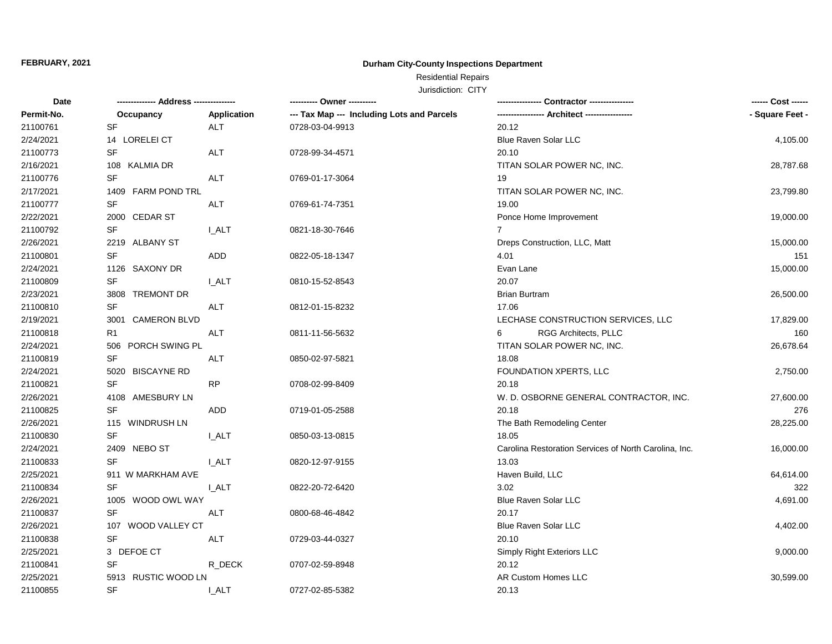## **Durham City-County Inspections Department**

Residential Repairs

| Date       | -------------- Address --------------- |                    | --------- Owner ----------                 |                                                       | ------ Cost ------ |
|------------|----------------------------------------|--------------------|--------------------------------------------|-------------------------------------------------------|--------------------|
| Permit-No. | Occupancy                              | <b>Application</b> | --- Tax Map --- Including Lots and Parcels |                                                       | - Square Feet -    |
| 21100761   | <b>SF</b>                              | <b>ALT</b>         | 0728-03-04-9913                            | 20.12                                                 |                    |
| 2/24/2021  | 14 LORELEI CT                          |                    |                                            | <b>Blue Raven Solar LLC</b>                           | 4,105.00           |
| 21100773   | <b>SF</b>                              | <b>ALT</b>         | 0728-99-34-4571                            | 20.10                                                 |                    |
| 2/16/2021  | 108 KALMIA DR                          |                    |                                            | TITAN SOLAR POWER NC, INC.                            | 28,787.68          |
| 21100776   | SF                                     | ALT                | 0769-01-17-3064                            | 19                                                    |                    |
| 2/17/2021  | 1409 FARM POND TRL                     |                    |                                            | TITAN SOLAR POWER NC, INC.                            | 23,799.80          |
| 21100777   | SF                                     | <b>ALT</b>         | 0769-61-74-7351                            | 19.00                                                 |                    |
| 2/22/2021  | 2000 CEDAR ST                          |                    |                                            | Ponce Home Improvement                                | 19,000.00          |
| 21100792   | SF                                     | <b>LALT</b>        | 0821-18-30-7646                            | 7                                                     |                    |
| 2/26/2021  | 2219 ALBANY ST                         |                    |                                            | Dreps Construction, LLC, Matt                         | 15,000.00          |
| 21100801   | <b>SF</b>                              | ADD                | 0822-05-18-1347                            | 4.01                                                  | 151                |
| 2/24/2021  | 1126 SAXONY DR                         |                    |                                            | Evan Lane                                             | 15,000.00          |
| 21100809   | <b>SF</b>                              | <b>LALT</b>        | 0810-15-52-8543                            | 20.07                                                 |                    |
| 2/23/2021  | 3808 TREMONT DR                        |                    |                                            | <b>Brian Burtram</b>                                  | 26,500.00          |
| 21100810   | SF                                     | ALT                | 0812-01-15-8232                            | 17.06                                                 |                    |
| 2/19/2021  | 3001 CAMERON BLVD                      |                    |                                            | LECHASE CONSTRUCTION SERVICES, LLC                    | 17,829.00          |
| 21100818   | R <sub>1</sub>                         | ALT                | 0811-11-56-5632                            | RGG Architects, PLLC<br>6                             | 160                |
| 2/24/2021  | 506 PORCH SWING PL                     |                    |                                            | TITAN SOLAR POWER NC, INC.                            | 26,678.64          |
| 21100819   | <b>SF</b>                              | ALT                | 0850-02-97-5821                            | 18.08                                                 |                    |
| 2/24/2021  | 5020 BISCAYNE RD                       |                    |                                            | FOUNDATION XPERTS, LLC                                | 2,750.00           |
| 21100821   | <b>SF</b>                              | RP                 | 0708-02-99-8409                            | 20.18                                                 |                    |
| 2/26/2021  | 4108 AMESBURY LN                       |                    |                                            | W. D. OSBORNE GENERAL CONTRACTOR, INC.                | 27,600.00          |
| 21100825   | <b>SF</b>                              | ADD                | 0719-01-05-2588                            | 20.18                                                 | 276                |
| 2/26/2021  | 115 WINDRUSH LN                        |                    |                                            | The Bath Remodeling Center                            | 28,225.00          |
| 21100830   | <b>SF</b>                              | <b>LALT</b>        | 0850-03-13-0815                            | 18.05                                                 |                    |
| 2/24/2021  | 2409 NEBO ST                           |                    |                                            | Carolina Restoration Services of North Carolina, Inc. | 16,000.00          |
| 21100833   | <b>SF</b>                              | I ALT              | 0820-12-97-9155                            | 13.03                                                 |                    |
| 2/25/2021  | 911 W MARKHAM AVE                      |                    |                                            | Haven Build, LLC                                      | 64,614.00          |
| 21100834   | SF                                     | <b>LALT</b>        | 0822-20-72-6420                            | 3.02                                                  | 322                |
| 2/26/2021  | 1005 WOOD OWL WAY                      |                    |                                            | <b>Blue Raven Solar LLC</b>                           | 4,691.00           |
| 21100837   | <b>SF</b>                              | ALT                | 0800-68-46-4842                            | 20.17                                                 |                    |
| 2/26/2021  | 107 WOOD VALLEY CT                     |                    |                                            | <b>Blue Raven Solar LLC</b>                           | 4,402.00           |
| 21100838   | SF                                     | ALT                | 0729-03-44-0327                            | 20.10                                                 |                    |
| 2/25/2021  | 3 DEFOE CT                             |                    |                                            | Simply Right Exteriors LLC                            | 9,000.00           |
| 21100841   | SF                                     | R_DECK             | 0707-02-59-8948                            | 20.12                                                 |                    |
| 2/25/2021  | 5913 RUSTIC WOOD LN                    |                    |                                            | AR Custom Homes LLC                                   | 30,599.00          |
| 21100855   | <b>SF</b>                              | I ALT              | 0727-02-85-5382                            | 20.13                                                 |                    |